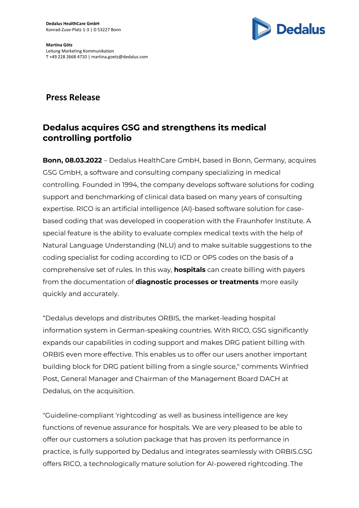

## **Press Release**

# **Dedalus acquires GSG and strengthens its medical controlling portfolio**

**Bonn, 08.03.2022** – Dedalus HealthCare GmbH, based in Bonn, Germany, acquires GSG GmbH, a software and consulting company specializing in medical controlling. Founded in 1994, the company develops software solutions for coding support and benchmarking of clinical data based on many years of consulting expertise. RICO is an artificial intelligence (AI)-based software solution for casebased coding that was developed in cooperation with the Fraunhofer Institute. A special feature is the ability to evaluate complex medical texts with the help of Natural Language Understanding (NLU) and to make suitable suggestions to the coding specialist for coding according to ICD or OPS codes on the basis of a comprehensive set of rules. In this way, **hospitals** can create billing with payers from the documentation of **diagnostic processes or treatments** more easily quickly and accurately.

"Dedalus develops and distributes ORBIS, the market-leading hospital information system in German-speaking countries. With RICO, GSG significantly expands our capabilities in coding support and makes DRG patient billing with ORBIS even more effective. This enables us to offer our users another important building block for DRG patient billing from a single source," comments Winfried Post, General Manager and Chairman of the Management Board DACH at Dedalus, on the acquisition.

"Guideline-compliant 'rightcoding' as well as business intelligence are key functions of revenue assurance for hospitals. We are very pleased to be able to offer our customers a solution package that has proven its performance in practice, is fully supported by Dedalus and integrates seamlessly with ORBIS.GSG offers RICO, a technologically mature solution for AI-powered rightcoding. The